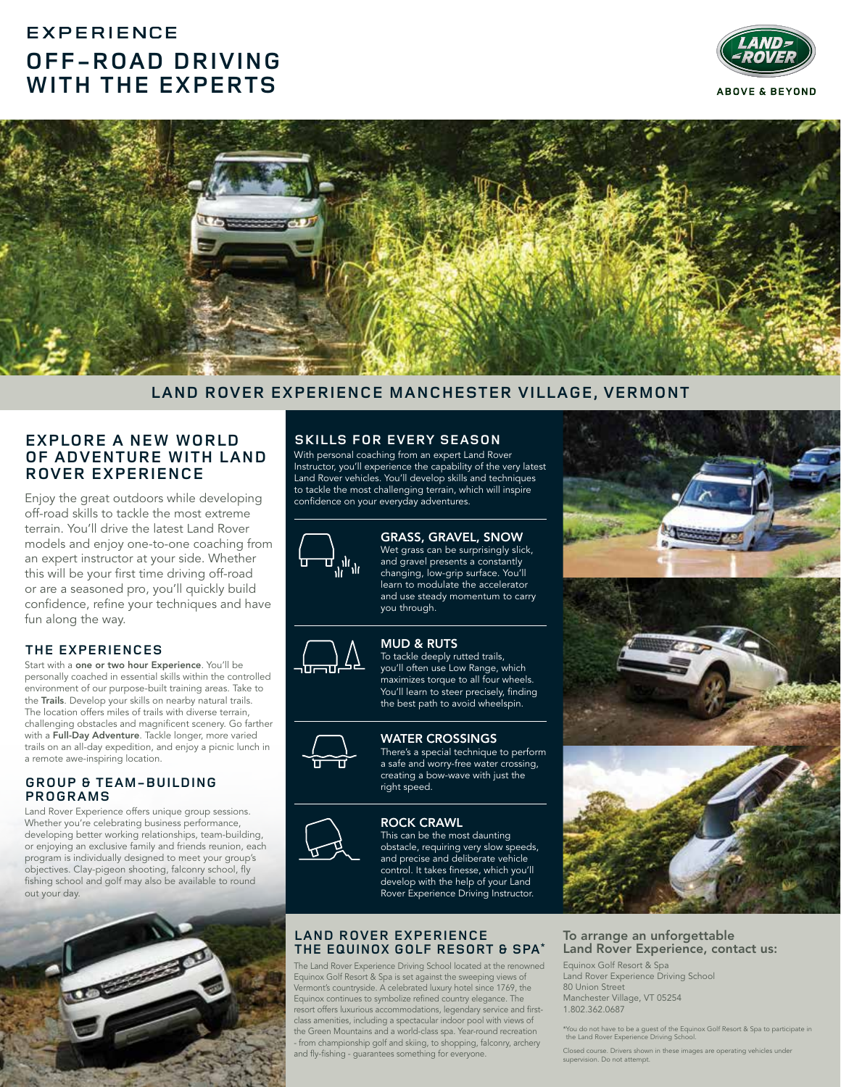# **EXPERIENCE OFF-ROAD DRIVING WITH THE EXPERTS**





# **LAND ROVER EXPERIENCE MANCHESTER VILLAGE, VERMONT**

# **EXPLORE A NEW WORLD OF ADVENTURE WITH LAND ROVER EXPERIENCE**

Enjoy the great outdoors while developing off-road skills to tackle the most extreme terrain. You'll drive the latest Land Rover models and enjoy one-to-one coaching from an expert instructor at your side. Whether this will be your first time driving off-road or are a seasoned pro, you'll quickly build confidence, refine your techniques and have fun along the way.

# **THE EXPERIENCES**

Start with a one or two hour Experience. You'll be personally coached in essential skills within the controlled environment of our purpose-built training areas. Take to the Trails. Develop your skills on nearby natural trails. The location offers miles of trails with diverse terrain, challenging obstacles and magnificent scenery. Go farther with a Full-Day Adventure. Tackle longer, more varied trails on an all-day expedition, and enjoy a picnic lunch in a remote awe-inspiring location.

#### **GROUP & TEAM-BUILDING PROGRAMS**

Land Rover Experience offers unique group sessions. Whether you're celebrating business performance, developing better working relationships, team-building, or enjoying an exclusive family and friends reunion, each program is individually designed to meet your group's objectives. Clay-pigeon shooting, falconry school, fly fishing school and golf may also be available to round out your day.



# **SKILLS FOR EVERY SEASON**

With personal coaching from an expert Land Rover Instructor, you'll experience the capability of the very latest Land Rover vehicles. You'll develop skills and techniques to tackle the most challenging terrain, which will inspire confidence on your everyday adventures.



GRASS, GRAVEL, SNOW Wet grass can be surprisingly slick, and gravel presents a constantly changing, low-grip surface. You'll learn to modulate the accelerator and use steady momentum to carry you through.



MUD & RUTS To tackle deeply rutted trails, you'll often use Low Range, which maximizes torque to all four wheels. You'll learn to steer precisely, finding the best path to avoid wheelspin.



There's a special technique to perform a safe and worry-free water crossing, creating a bow-wave with just the right speed.



ROCK CRAWL This can be the most daunting obstacle, requiring very slow speeds, and precise and deliberate vehicle control. It takes finesse, which you'll develop with the help of your Land Rover Experience Driving Instructor.

#### **LAND ROVER EXPERIENCE THE EQUINOX GOLF RESORT & SPA\***

The Land Rover Experience Driving School located at the renowned Equinox Golf Resort & Spa is set against the sweeping views of Vermont's countryside. A celebrated luxury hotel since 1769, the Equinox continues to symbolize refined country elegance. The resort offers luxurious accommodations, legendary service and firstclass amenities, including a spectacular indoor pool with views of the Green Mountains and a world-class spa. Year-round recreation - from championship golf and skiing, to shopping, falconry, archery and fly-fishing - guarantees something for everyone.



#### To arrange an unforgettable Land Rover Experience, contact us:

Equinox Golf Resort & Spa Land Rover Experience Driving School 80 Union Street Manchester Village, VT 05254 1.802.362.0687

\*You do not have to be a guest of the Equinox Golf Resort & Spa to participate in the Land Rover Experience Driving School.

Closed course. Drivers shown in these images are operating vehicles under supervision. Do not attempt.